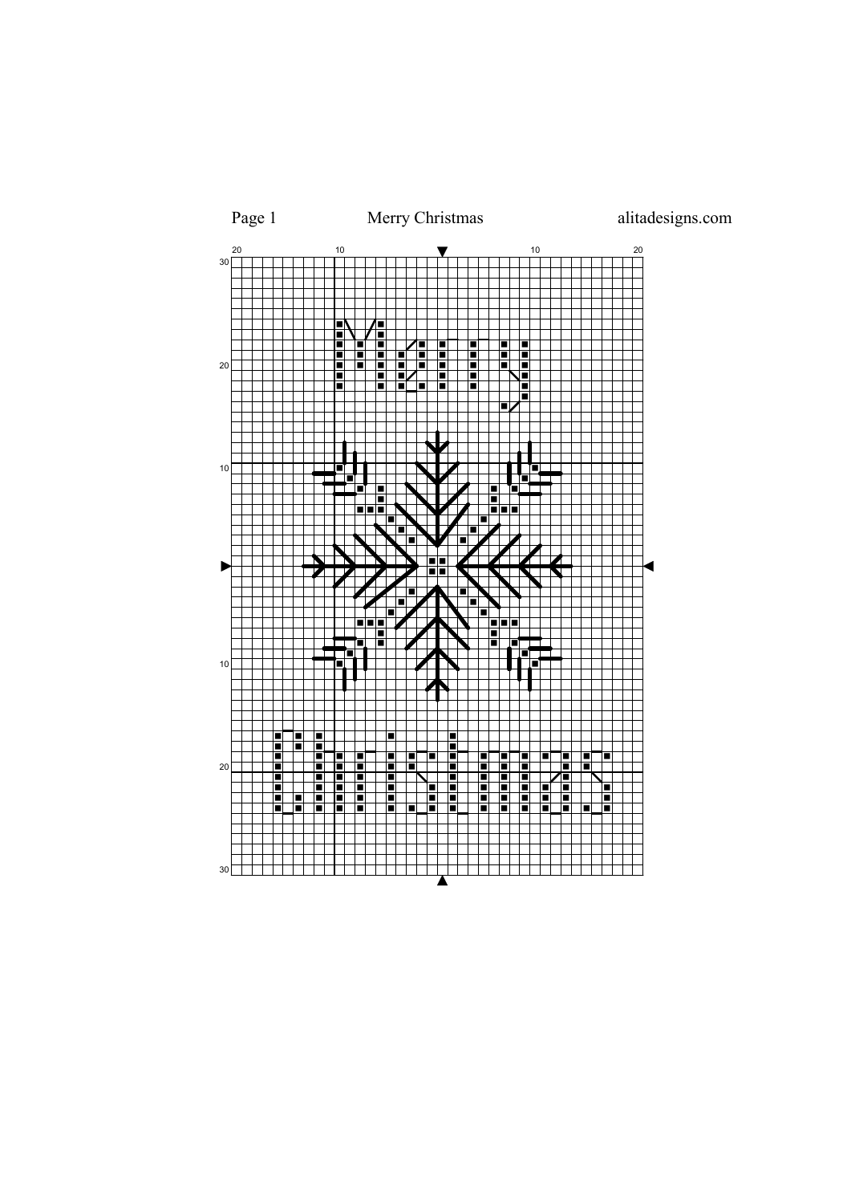